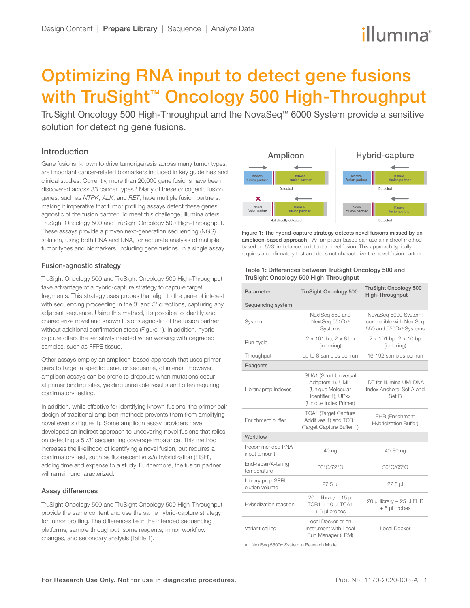# illumına

## Optimizing RNA input to detect gene fusions with TruSight™ Oncology 500 High-Throughput

TruSight Oncology 500 High-Throughput and the NovaSeq™ 6000 System provide a sensitive solution for detecting gene fusions.

## Introduction

Gene fusions, known to drive tumorigenesis across many tumor types, are important cancer-related biomarkers included in key guidelines and clinical studies. Currently, more than 20,000 gene fusions have been discovered across 33 cancer types.<sup>1</sup> Many of these oncogenic fusion genes, such as *NTRK*, *ALK*, and *RET*, have multiple fusion partners, making it imperative that tumor profiling assays detect these genes agnostic of the fusion partner. To meet this challenge, Illumina offers TruSight Oncology 500 and TruSight Oncology 500 High-Throughput. These assays provide a proven next-generation sequencing (NGS) solution, using both RNA and DNA, for accurate analysis of multiple tumor types and biomarkers, including gene fusions, in a single assay.

## Fusion-agnostic strategy

TruSight Oncology 500 and TruSight Oncology 500 High-Throughput take advantage of a hybrid-capture strategy to capture target fragments. This strategy uses probes that align to the gene of interest with sequencing proceeding in the 3' and 5' directions, capturing any adjacent sequence. Using this method, it's possible to identify and characterize novel and known fusions agnostic of the fusion partner without additional confirmation steps [\(Figure 1\)](#page-0-0). In addition, hybridcapture offers the sensitivity needed when working with degraded samples, such as FFPE tissue.

Other assays employ an amplicon-based approach that uses primer pairs to target a specific gene, or sequence, of interest. However, amplicon assays can be prone to dropouts when mutations occur at primer binding sites, yielding unreliable results and often requiring confirmatory testing.

In addition, while effective for identifying known fusions, the primer-pair design of traditional amplicon methods prevents them from amplifying novel events ([Figure 1\)](#page-0-0). Some amplicon assay providers have developed an indirect approach to uncovering novel fusions that relies on detecting a 5'/3' sequencing coverage imbalance. This method increases the likelihood of identifying a novel fusion, but requires a confirmatory test, such as fluorescent *in situ* hybridization (FISH), adding time and expense to a study. Furthermore, the fusion partner will remain uncharacterized.

## Assay differences

<span id="page-0-2"></span>TruSight Oncology 500 and TruSight Oncology 500 High-Throughput provide the same content and use the same hybrid-capture strategy for tumor profiling. The differences lie in the intended sequencing platforms, sample throughput, some reagents, minor workflow changes, and secondary analysis [\(Table 1\)](#page-0-1).



<span id="page-0-0"></span>Figure 1: The hybrid-capture strategy detects novel fusions missed by an amplicon-based approach—An amplicon-based can use an indirect method based on 5'/3' imbalance to detect a novel fusion. This approach typically requires a confirmatory test and does not characterize the novel fusion partner.

#### <span id="page-0-1"></span>Table 1: Differences between TruSight Oncology 500 and TruSight Oncology 500 High-Throughput

| Parameter                                | <b>TruSight Oncology 500</b>                                                                                    | <b>TruSight Oncology 500</b><br>High-Throughput                                       |  |  |  |
|------------------------------------------|-----------------------------------------------------------------------------------------------------------------|---------------------------------------------------------------------------------------|--|--|--|
| Sequencing system                        |                                                                                                                 |                                                                                       |  |  |  |
| System                                   | NextSeq 550 and<br>NextSeq 550Dxa<br>Systems                                                                    | NovaSeq 6000 System;<br>compatible with NextSeq<br>550 and 550Dx <sup>a</sup> Systems |  |  |  |
| Run cycle                                | $2 \times 101$ bp, $2 \times 8$ bp<br>(indexina)                                                                | $2 \times 101$ bp, $2 \times 10$ bp<br>(indexina)                                     |  |  |  |
| Throughput                               | up to 8 samples per run                                                                                         | 16-192 samples per run                                                                |  |  |  |
| Reagents                                 |                                                                                                                 |                                                                                       |  |  |  |
| Library prep indexes                     | SUA1 (Short Universal<br>Adapters 1), UMI1<br>(Unique Molecular<br>Identifier 1), UPxx<br>(Unique Index Primer) | <b>IDT</b> for Illumina UMI DNA<br>Index Anchors-Set A and<br>Set B                   |  |  |  |
| Enrichment buffer                        | <b>TCA1</b> (Target Capture<br>Additives 1) and TCB1<br>(Target Capture Buffer 1)                               | EHB (Enrichment<br>Hybridization Buffer)                                              |  |  |  |
| Workflow                                 |                                                                                                                 |                                                                                       |  |  |  |
| Recommended RNA<br>input amount          | 40 ng                                                                                                           | 40-80 ng                                                                              |  |  |  |
| End-repair/A-tailing<br>temperature      | 30°C/72°C                                                                                                       | 30°C/65°C                                                                             |  |  |  |
| Library prep SPRI<br>elution volume      | 27.5 µl                                                                                                         | 22.5 µl                                                                               |  |  |  |
| Hybridization reaction                   | $20$ µl library + 15 µl<br>TCB1 + 10 µl TCA1<br>$+5$ µl probes                                                  | 20 µl library + 25 µl EHB<br>$+5$ µl probes                                           |  |  |  |
| Variant calling                          | Local Docker or on-<br>instrument with Local<br>Run Manager (LRM)                                               | <b>Local Docker</b>                                                                   |  |  |  |
| a. NextSeg 550Dx System in Research Mode |                                                                                                                 |                                                                                       |  |  |  |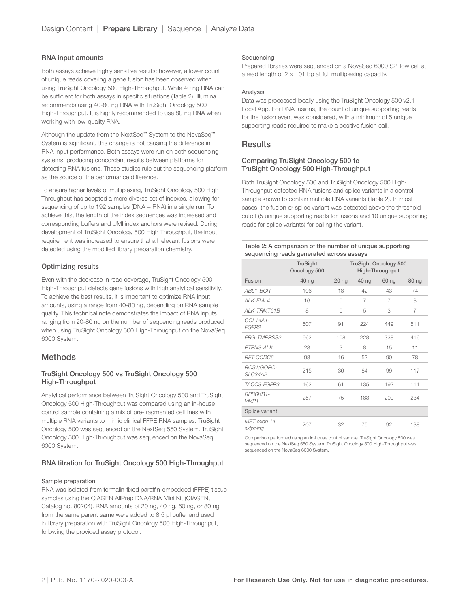#### RNA input amounts

Both assays achieve highly sensitive results; however, a lower count of unique reads covering a gene fusion has been observed when using TruSight Oncology 500 High-Throughput. While 40 ng RNA can be sufficient for both assays in specific situations [\(Table 2\)](#page-1-0), Illumina recommends using 40-80 ng RNA with TruSight Oncology 500 High-Throughput. It is highly recommended to use 80 ng RNA when working with low-quality RNA.

Although the update from the NextSeq™ System to the NovaSeq™ System is significant, this change is not causing the difference in RNA input performance. Both assays were run on both sequencing systems, producing concordant results between platforms for detecting RNA fusions. These studies rule out the sequencing platform as the source of the performance difference.

To ensure higher levels of multiplexing, TruSight Oncology 500 High Throughput has adopted a more diverse set of indexes, allowing for sequencing of up to 192 samples (DNA + RNA) in a single run. To achieve this, the length of the index sequences was increased and corresponding buffers and UMI index anchors were revised. During development of TruSight Oncology 500 High Throughput, the input requirement was increased to ensure that all relevant fusions were detected using the modified library preparation chemistry.

#### Optimizing results

Even with the decrease in read coverage, TruSight Oncology 500 High-Throughput detects gene fusions with high analytical sensitivity. To achieve the best results, it is important to optimize RNA input amounts, using a range from 40-80 ng, depending on RNA sample quality. This technical note demonstrates the impact of RNA inputs ranging from 20-80 ng on the number of sequencing reads produced when using TruSight Oncology 500 High-Throughput on the NovaSeq 6000 System.

## **Methods**

## TruSight Oncology 500 vs TruSight Oncology 500 High-Throughput

Analytical performance between TruSight Oncology 500 and TruSight Oncology 500 High-Throughput was compared using an in-house control sample containing a mix of pre-fragmented cell lines with multiple RNA variants to mimic clinical FFPE RNA samples. TruSight Oncology 500 was sequenced on the NextSeq 550 System. TruSight Oncology 500 High-Throughput was sequenced on the NovaSeq 6000 System.

#### RNA titration for TruSight Oncology 500 High-Throughput

#### Sample preparation

RNA was isolated from formalin-fixed paraffin-embedded (FFPE) tissue samples using the QIAGEN AllPrep DNA/RNA Mini Kit (QIAGEN, Catalog no. 80204). RNA amounts of 20 ng, 40 ng, 60 ng, or 80 ng from the same parent same were added to 8.5 µl buffer and used in library preparation with TruSight Oncology 500 High-Throughput, following the provided assay protocol.

#### Sequencing

Prepared libraries were sequenced on a NovaSeq 6000 S2 flow cell at a read length of  $2 \times 101$  bp at full multiplexing capacity.

#### Analysis

Data was processed locally using the TruSight Oncology 500 v2.1 Local App. For RNA fusions, the count of unique supporting reads for the fusion event was considered, with a minimum of 5 unique supporting reads required to make a positive fusion call.

## Results

## Comparing TruSight Oncology 500 to TruSight Oncology 500 High-Throughput

Both TruSight Oncology 500 and TruSight Oncology 500 High-Throughput detected RNA fusions and splice variants in a control sample known to contain multiple RNA variants [\(Table 2](#page-1-0)). In most cases, the fusion or splice variant was detected above the threshold cutoff (5 unique supporting reads for fusions and 10 unique supporting reads for splice variants) for calling the variant.

#### <span id="page-1-0"></span>Table 2: A comparison of the number of unique supporting sequencing reads generated across assays

|                         | <b>TruSight</b><br>Oncology 500 | <b>TruSight Oncology 500</b><br>High-Throughput |       |       |       |
|-------------------------|---------------------------------|-------------------------------------------------|-------|-------|-------|
| Fusion                  | 40 ng                           | 20 <sub>ng</sub>                                | 40 ng | 60 ng | 80 ng |
| ABL1-BCR                | 106                             | 18                                              | 42    | 43    | 74    |
| $AI K$ -FML4            | 16                              | 0                                               | 7     | 7     | 8     |
| ALK-TRMT61B             | 8                               | $\Omega$                                        | 5     | 3     | 7     |
| COL14A1-<br>FGFR2       | 607                             | 91                                              | 224   | 449   | 511   |
| <b>FRG-TMPRSS2</b>      | 662                             | 108                                             | 228   | 338   | 416   |
| PTPN3-ALK               | 23                              | 3                                               | 8     | 15    | 11    |
| RET-CCDC6               | 98                              | 16                                              | 52    | 90    | 78    |
| ROS1;GOPC-<br>SLC34A2   | 215                             | 36                                              | 84    | 99    | 117   |
| TACC3-FGFR3             | 162                             | 61                                              | 135   | 192   | 111   |
| RPS6KB1-<br>VMP1        | 257                             | 75                                              | 183   | 200   | 234   |
| Splice variant          |                                 |                                                 |       |       |       |
| MET exon 14<br>skipping | 207                             | 32                                              | 75    | 92    | 138   |

Comparison performed using an in-house control sample. TruSight Oncology 500 was sequenced on the NextSeq 550 System. TruSight Oncology 500 High-Throughput was sequenced on the NovaSeq 6000 System.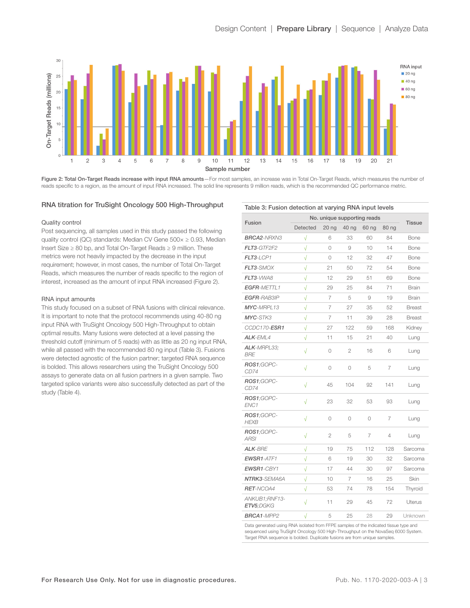

Figure 2: Total On-Target Reads increase with input RNA amounts—For most samples, an increase was in Total On-Target Reads, which measures the number of reads specific to a region, as the amount of input RNA increased. The solid line represents 9 million reads, which is the recommended QC performance metric.

#### RNA titration for TruSight Oncology 500 High-Throughput

#### Quality control

Post sequencing, all samples used in this study passed the following quality control (QC) standards: Median CV Gene  $500 \times \ge 0.93$ , Median Insert Size ≥ 80 bp, and Total On-Target Reads ≥ 9 million. These metrics were not heavily impacted by the decrease in the input requirement; however, in most cases, the number of Total On-Target Reads, which measures the number of reads specific to the region of interest, increased as the amount of input RNA increased (Figure 2).

#### RNA input amounts

This study focused on a subset of RNA fusions with clinical relevance. It is important to note that the protocol recommends using 40-80 ng input RNA with TruSight Oncology 500 High-Throughput to obtain optimal results. Many fusions were detected at a level passing the threshold cutoff (minimum of 5 reads) with as little as 20 ng input RNA, while all passed with the recommended 80 ng input [\(Table 3\)](#page-2-0). Fusions were detected agnostic of the fusion partner; targeted RNA sequence is bolded. This allows researchers using the TruSight Oncology 500 assays to generate data on all fusion partners in a given sample. Two targeted splice variants were also successfully detected as part of the study ([Table 4\)](#page-3-1).

|                            | No. unique supporting reads |                  |                |         |       |               |
|----------------------------|-----------------------------|------------------|----------------|---------|-------|---------------|
| Fusion                     | Detected                    | 20 <sub>ng</sub> | 40 ng          | 60 ng   | 80 ng | <b>Tissue</b> |
| <b>BRCA2-NRXN3</b>         | $\sqrt{}$                   | 6                | 33             | 60      | 84    | Bone          |
| FLT3-GTF2F2                | $\sqrt{}$                   | 0                | 9              | 10      | 14    | Bone          |
| $FLT3-LOP1$                | $\sqrt{}$                   | $\bigcirc$       | 12             | 32      | 47    | Bone          |
| FLT3-SMOX                  | $\sqrt{}$                   | 21               | 50             | 72      | 54    | Bone          |
| FLT3-VWA8                  | $\sqrt{}$                   | 12               | 29             | 51      | 69    | Bone          |
| EGFR-METTL1                | $\sqrt{}$                   | 29               | 25             | 84      | 71    | <b>Brain</b>  |
| <b>EGFR-RAB3IP</b>         | $\sqrt{}$                   | 7                | 5              | 9       | 19    | <b>Brain</b>  |
| MYC-MRPL13                 | $\sqrt{}$                   | 7                | 27             | 35      | 52    | <b>Breast</b> |
| MYC-STK3                   | $\sqrt{}$                   | 7                | 11             | 39      | 28    | <b>Breast</b> |
| CCDC170-ESR1               | $\sqrt{}$                   | 27               | 122            | 59      | 168   | Kidney        |
| <b>ALK-EML4</b>            | $\sqrt{}$                   | 11               | 15             | 21      | 40    | Lung          |
| ALK-MRPL33:<br><b>BRE</b>  | $\sqrt{}$                   | 0                | $\overline{2}$ | 16      | 6     | Lung          |
| ROS1:GOPC-<br>CD74         | $\sqrt{}$                   | 0                | 0              | 5       | 7     | Lung          |
| ROS1:GOPC-<br>CD74         | $\sqrt{}$                   | 45               | 104            | 92      | 141   | Lung          |
| ROS1;GOPC-<br>ENC1         | $\sqrt{}$                   | 23               | 32             | 53      | 93    | Lung          |
| ROS1:GOPC-<br><b>HEXB</b>  | $\sqrt{}$                   | 0                | 0              | $\circ$ | 7     | Lung          |
| ROS1:GOPC-<br><b>ARSI</b>  | $\sqrt{}$                   | 2                | 5              | 7       | 4     | Lung          |
| <b>ALK-BRE</b>             | $\sqrt{}$                   | 19               | 75             | 112     | 128   | Sarcoma       |
| EWSR1-ATF1                 | $\sqrt{}$                   | 6                | 19             | 30      | 32    | Sarcoma       |
| EWSR1-CBY1                 | $\sqrt{}$                   | 17               | 44             | 30      | 97    | Sarcoma       |
| NTRK3-SEMA6A               | $\sqrt{}$                   | 10               | 7              | 16      | 25    | Skin          |
| <b>RET-NCOA4</b>           | $\sqrt{}$                   | 53               | 74             | 78      | 154   | Thyroid       |
| ANKUB1;RNF13-<br>ETV5:DGKG | $\sqrt{}$                   | 11               | 29             | 45      | 72    | <b>Uterus</b> |
| <b>BRCA1-MPP2</b>          | $\sqrt{}$                   | 5                | 25             | 28      | 29    | Unknown       |

Data generated using RNA isolated from FFPE samples of the indicated tissue type and sequenced using TruSight Oncology 500 High-Throughput on the NovaSeg 6000 System. Target RNA sequence is bolded. Duplicate fusions are from unique samples.

## <span id="page-2-0"></span>Table 3: Fusion detection at varying RNA input levels